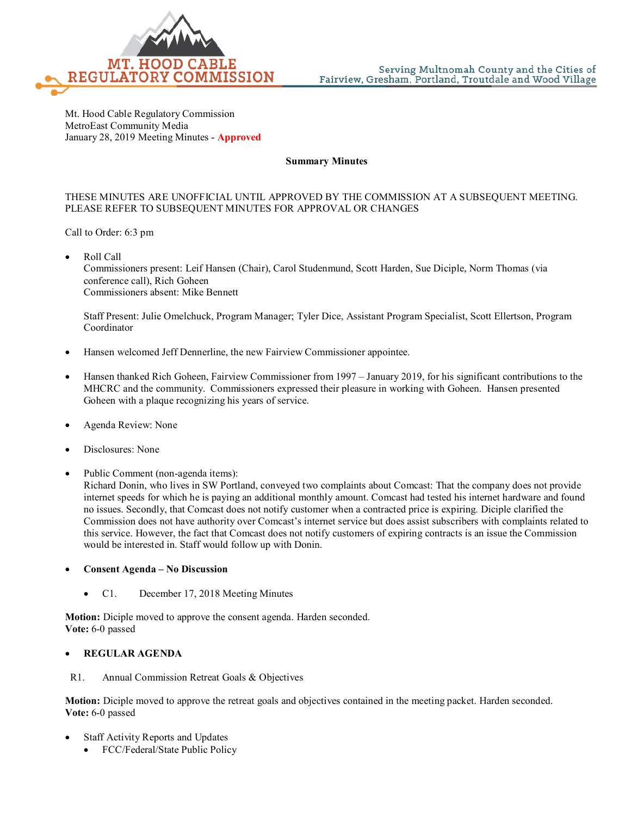

Mt. Hood Cable Regulatory Commission MetroEast Community Media January 28, 2019 Meeting Minutes - **Approved**

#### **Summary Minutes**

#### THESE MINUTES ARE UNOFFICIAL UNTIL APPROVED BY THE COMMISSION AT A SUBSEQUENT MEETING. PLEASE REFER TO SUBSEQUENT MINUTES FOR APPROVAL OR CHANGES

Call to Order: 6:3 pm

• Roll Call

Commissioners present: Leif Hansen (Chair), Carol Studenmund, Scott Harden, Sue Diciple, Norm Thomas (via conference call), Rich Goheen Commissioners absent: Mike Bennett

Staff Present: Julie Omelchuck, Program Manager; Tyler Dice, Assistant Program Specialist, Scott Ellertson, Program Coordinator

- Hansen welcomed Jeff Dennerline, the new Fairview Commissioner appointee.
- Hansen thanked Rich Goheen, Fairview Commissioner from 1997 January 2019, for his significant contributions to the MHCRC and the community. Commissioners expressed their pleasure in working with Goheen. Hansen presented Goheen with a plaque recognizing his years of service.
- Agenda Review: None
- Disclosures: None
- Public Comment (non-agenda items):

Richard Donin, who lives in SW Portland, conveyed two complaints about Comcast: That the company does not provide internet speeds for which he is paying an additional monthly amount. Comcast had tested his internet hardware and found no issues. Secondly, that Comcast does not notify customer when a contracted price is expiring. Diciple clarified the Commission does not have authority over Comcast's internet service but does assist subscribers with complaints related to this service. However, the fact that Comcast does not notify customers of expiring contracts is an issue the Commission would be interested in. Staff would follow up with Donin.

- **Consent Agenda – No Discussion**
	- C1. December 17, 2018 Meeting Minutes

**Motion:** Diciple moved to approve the consent agenda. Harden seconded. **Vote:** 6-0 passed

### • **REGULAR AGENDA**

R1. Annual Commission Retreat Goals & Objectives

**Motion:** Diciple moved to approve the retreat goals and objectives contained in the meeting packet. Harden seconded. **Vote:** 6-0 passed

- Staff Activity Reports and Updates
	- FCC/Federal/State Public Policy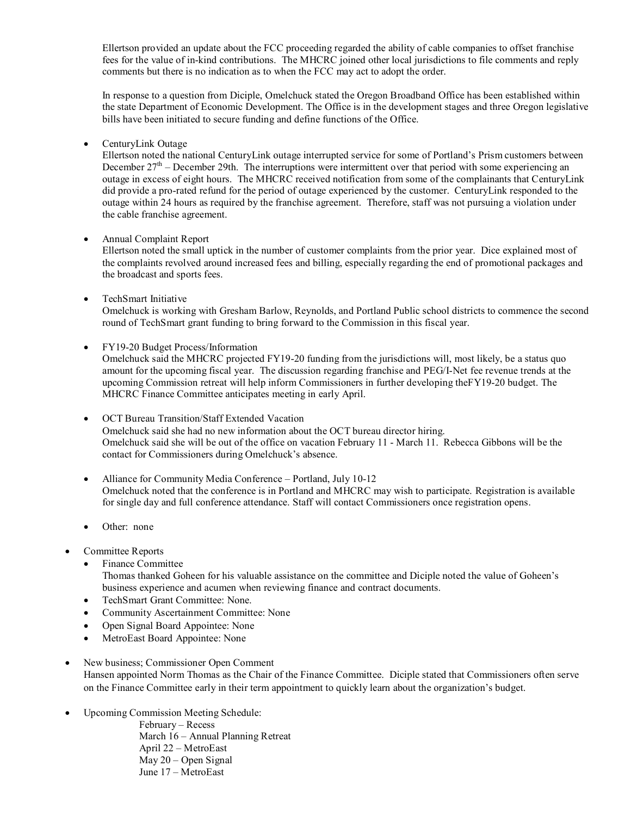Ellertson provided an update about the FCC proceeding regarded the ability of cable companies to offset franchise fees for the value of in-kind contributions. The MHCRC joined other local jurisdictions to file comments and reply comments but there is no indication as to when the FCC may act to adopt the order.

In response to a question from Diciple, Omelchuck stated the Oregon Broadband Office has been established within the state Department of Economic Development. The Office is in the development stages and three Oregon legislative bills have been initiated to secure funding and define functions of the Office.

• CenturyLink Outage

Ellertson noted the national CenturyLink outage interrupted service for some of Portland's Prism customers between December  $27<sup>th</sup>$  – December 29th. The interruptions were intermittent over that period with some experiencing an outage in excess of eight hours. The MHCRC received notification from some of the complainants that CenturyLink did provide a pro-rated refund for the period of outage experienced by the customer. CenturyLink responded to the outage within 24 hours as required by the franchise agreement. Therefore, staff was not pursuing a violation under the cable franchise agreement.

### • Annual Complaint Report

Ellertson noted the small uptick in the number of customer complaints from the prior year. Dice explained most of the complaints revolved around increased fees and billing, especially regarding the end of promotional packages and the broadcast and sports fees.

• TechSmart Initiative

Omelchuck is working with Gresham Barlow, Reynolds, and Portland Public school districts to commence the second round of TechSmart grant funding to bring forward to the Commission in this fiscal year.

• FY19-20 Budget Process/Information

Omelchuck said the MHCRC projected FY19-20 funding from the jurisdictions will, most likely, be a status quo amount for the upcoming fiscal year. The discussion regarding franchise and PEG/I-Net fee revenue trends at the upcoming Commission retreat will help inform Commissioners in further developing theFY19-20 budget. The MHCRC Finance Committee anticipates meeting in early April.

• OCT Bureau Transition/Staff Extended Vacation Omelchuck said she had no new information about the OCT bureau director hiring. Omelchuck said she will be out of the office on vacation February 11 - March 11. Rebecca Gibbons will be the contact for Commissioners during Omelchuck's absence.

- Alliance for Community Media Conference Portland, July 10-12 Omelchuck noted that the conference is in Portland and MHCRC may wish to participate. Registration is available for single day and full conference attendance. Staff will contact Commissioners once registration opens.
- Other: none
- Committee Reports
	- Finance Committee
	- Thomas thanked Goheen for his valuable assistance on the committee and Diciple noted the value of Goheen's business experience and acumen when reviewing finance and contract documents.
	- TechSmart Grant Committee: None.
	- Community Ascertainment Committee: None
	- Open Signal Board Appointee: None
	- MetroEast Board Appointee: None
- New business; Commissioner Open Comment Hansen appointed Norm Thomas as the Chair of the Finance Committee. Diciple stated that Commissioners often serve on the Finance Committee early in their term appointment to quickly learn about the organization's budget.
- Upcoming Commission Meeting Schedule:

February – Recess March 16 – Annual Planning Retreat April 22 – MetroEast May 20 – Open Signal June 17 – MetroEast